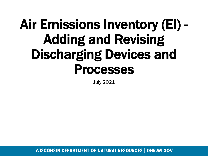# Air Emissions Inventory (EI) - Adding and Revising Discharging Devices and Processes

July 2021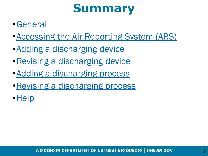### **Summary**

### •[General](#page-3-0)

- •[Accessing the Air Reporting System \(ARS\)](#page-3-0)
- •[Adding a discharging device](#page-4-0)
- •[Revising a discharging device](#page-9-0)
- Adding a discharging process
- [Revising a discharging process](#page-4-0)
- •[Help](#page-4-0)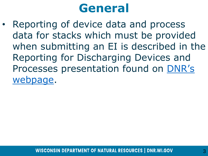### **General**

• Reporting of device data and process data for stacks which must be provided when submitting an EI is described in the Reporting for Discharging Devices and [Processes presentation found on](https://dnr.wisconsin.gov/topic/AirEmissions/Tutorials.html) DNR's webpage.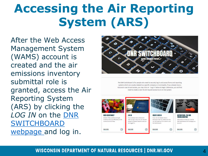# <span id="page-3-0"></span>**Accessing the Air Reporting System (ARS)**

After the Web Access Management System (WAMS) account is created and the air emissions inventory submittal role is granted, access the Air Reporting System (ARS) by clicking the *LOG IN* on the DNR **SWITCHBOARD** [webpage and log in](https://dnr.wisconsin.gov/topic/Switchboard).



The DNR Switchboard is for people who need to securely log in and access forms and reporting systems which are usually related to a specific company or municipality. If you already have a Wisconsin User ID and access, you may click on "Log in" below to begin. Otherwise, you will first need to create a User ID and request access to an on-line system

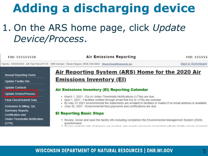### <span id="page-4-0"></span>1. On the ARS home page, click *Update Device/Process*.

| <b>FID: 555555550</b>                                       | <b>Air Emissions Reporting</b>                                                                                                                                                                                                                                                        | <b>FID: 555555</b>         |
|-------------------------------------------------------------|---------------------------------------------------------------------------------------------------------------------------------------------------------------------------------------------------------------------------------------------------------------------------------------|----------------------------|
|                                                             | Facility - 555555550 : AIR Test FACILITY #1 DNR Contact : Steven Bogost, (608) 264-8843 Steven.Bogost@wisconsin.gov                                                                                                                                                                   | <b>Back to Switchboard</b> |
| <b>Annual Reporting Home</b><br><b>Update Facility Info</b> | <u>Air Reporting System (ARS) Home for the 2020 Air</u><br><b>Emissions Inventory (EI)</b>                                                                                                                                                                                            |                            |
| <b>Update Contacts</b><br>Update Device/Process             | <b>Air Emissions Inventory (EI) Reporting Calendar</b><br>• March 1, 2021 - Els or Under-Thresholds-Notifications (UTNs) are due.                                                                                                                                                     |                            |
| <b>Final Check/Submit Data</b><br>Emissions & Billing, QA,  | - April 1, 2021 - Facilities notified through email that Els or UTNs are overdue.<br>. By May 31 2021 environmental fee statements are emailed to facilities or mailed if no email address is available.<br>• June 30, 2021 - Environmental fees payments and certifications are due. |                            |
| <b>Summary Reports,</b><br><b>Certification and</b>         | <b>El Reporting Basic Steps</b>                                                                                                                                                                                                                                                       |                            |
| Under-Thresholds-Notification<br>(UTN)                      | 1. Review, revise and save the facility info including completion the Environmental Management System (EMS)<br>questionnaire.<br>2. Doview contacts info. If changes are needed, only needed proviewely accesiated with the facility can be accioned                                  |                            |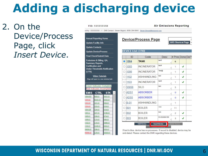### 2. On the Device/Process Page, click *Insert Device*.

#### FID: 555555550

**Air Emissions Reporting** 

- 555555550: -1 DNR Contact: Steven Bogost. (608) 264-8843 Steven.Bogost@wisconsin.gov

|                                                                                                                                  | <b>Annual Reporting Home</b>   |                    |  |  |  |  |  |
|----------------------------------------------------------------------------------------------------------------------------------|--------------------------------|--------------------|--|--|--|--|--|
|                                                                                                                                  | <b>Update Facility Info</b>    |                    |  |  |  |  |  |
|                                                                                                                                  | <b>Update Contacts</b>         |                    |  |  |  |  |  |
|                                                                                                                                  | <b>Update Device/Process</b>   |                    |  |  |  |  |  |
|                                                                                                                                  | <b>Final Check/Submit Data</b> |                    |  |  |  |  |  |
| Emissions & Billing, QA,<br><b>Summary Reports,</b><br><b>Certification and</b><br><b>Under-Thresholds-Notification</b><br>(UTN) |                                |                    |  |  |  |  |  |
| <b>Video Tutorials</b><br>(Page will open in a new window/tab)                                                                   |                                |                    |  |  |  |  |  |
| <b>Green Indicates Complete</b><br><b>Red Indicates Incomplete</b>                                                               |                                |                    |  |  |  |  |  |
|                                                                                                                                  |                                |                    |  |  |  |  |  |
| <b>EMIS</b>                                                                                                                      | <b>CTRL</b>                    | <b>STK</b>         |  |  |  |  |  |
| 1004-003                                                                                                                         | B05-01                         | S001-01            |  |  |  |  |  |
| 1004-02                                                                                                                          | <b>BAG1-01</b>                 | S003-01            |  |  |  |  |  |
| 1004-03                                                                                                                          | C01-01                         | S09-01             |  |  |  |  |  |
| 1004-04                                                                                                                          | $C03-01$                       | S <sub>16-01</sub> |  |  |  |  |  |
| 1004-125                                                                                                                         | C04-01                         | S19-01             |  |  |  |  |  |
| $1004 - m$                                                                                                                       | C07-01                         | S199-01            |  |  |  |  |  |
| 1005-01                                                                                                                          | C09-01                         | S79-01             |  |  |  |  |  |
| 1006-01                                                                                                                          | $C10-01$                       | S88-01             |  |  |  |  |  |
| 1102-01                                                                                                                          | C <sub>19-01</sub>             | S999-01            |  |  |  |  |  |
| 1103-01                                                                                                                          | C345-01                        | SSS-01             |  |  |  |  |  |
| 55858-01                                                                                                                         | C66-01                         | SSS-01             |  |  |  |  |  |

#### **Device/Process Page**



#### **DEVICE List: (190)**

|         | ID                                                                                             | Code               | <b>Desc</b>        | # Pros Done Del? |   |  |  |  |
|---------|------------------------------------------------------------------------------------------------|--------------------|--------------------|------------------|---|--|--|--|
| $\odot$ | 1004                                                                                           | <b>TANK</b>        | test3<br>//        | 6                |   |  |  |  |
| ( )     | 1005                                                                                           | <b>INCINERATOR</b> | test4<br>4         | 1                | ◡ |  |  |  |
| ∩       | 1006                                                                                           | <b>INCINERATOR</b> | Test@<br>4         | 1                | ◡ |  |  |  |
| ∩       | 1102                                                                                           | <b>ASHHANDLING</b> | test<br>//         | 1                | ◡ |  |  |  |
| ∩       | 1103                                                                                           | <b>INCINERATOR</b> | test2<br>//        | 1                | ◡ |  |  |  |
|         | 55858                                                                                          | <b>SILO</b>        | test<br>h,         | 5                |   |  |  |  |
|         | ADS1                                                                                           | <b>ABSORBER</b>    | 4                  | o                | ◡ |  |  |  |
| ∩       | ADS5                                                                                           | <b>ABSORBER</b>    | h,                 | o                | ◡ |  |  |  |
| ∩       | $B-01$                                                                                         | <b>ASHHANDLING</b> | //                 | 1                |   |  |  |  |
| ∩       | B01                                                                                            | <b>BOILER</b>      | vczx<br>4          | 11               |   |  |  |  |
|         | <b>B02</b>                                                                                     | <b>BOILER</b>      | bob<br>//          | 2                | ◡ |  |  |  |
|         | <b>B03</b>                                                                                     | <b>BOILER</b>      | SN 523864156<br>// | 3                | J |  |  |  |
|         | <b>Edit Device</b><br><b>Insert Device</b><br><b>Delete Device</b><br><b>Control Empleticy</b> |                    |                    |                  |   |  |  |  |

If text is blue, device has no processes. If record is disabled, device may be end-dated. Please contact the DNR regarding these devices.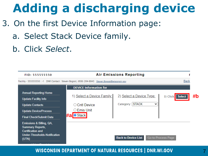- 3. On the first Device Information page:
	- a. Select Stack Device family.
	- b. Click *Select*.

| FID: 555555550                                                                                                                   |                                                                                                    | <b>Air Emissions Reporting</b> |                           |    |
|----------------------------------------------------------------------------------------------------------------------------------|----------------------------------------------------------------------------------------------------|--------------------------------|---------------------------|----|
|                                                                                                                                  | Facility - 555555550 : - 1 DNR Contact : Steven Bogost, (608) 264-8843 Steven.Bogost@wisconsin.gov |                                | <b>Back</b>               |    |
|                                                                                                                                  | <b>DEVICE Information for</b>                                                                      |                                |                           |    |
| <b>Annual Reporting Home</b>                                                                                                     |                                                                                                    |                                |                           |    |
| <b>Update Facility Info</b>                                                                                                      | 1) Select a Device Family:                                                                         | 2) Select a Device Type:       | 3) Click: Select          | #b |
| <b>Update Contacts</b>                                                                                                           | ○ Cntl Device                                                                                      | Category: STACK<br>$\check{ }$ |                           |    |
| <b>Update Device/Process</b>                                                                                                     | $\circ$ Emis Unit                                                                                  |                                |                           |    |
| <b>Final Check/Submit Data</b>                                                                                                   | <b>#a</b> Stack                                                                                    |                                |                           |    |
| Emissions & Billing, QA,<br><b>Summary Reports,</b><br><b>Certification and</b><br><b>Under-Thresholds-Notification</b><br>(UTN) |                                                                                                    | <b>Back to Device List</b>     | <b>Go to Process Page</b> |    |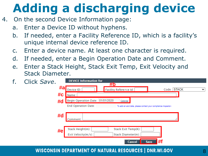- 4. On the second Device Information page:
	- a. Enter a Device ID without hyphens.
	- b. If needed, enter a Facility Reference ID, which is a facility's unique internal device reference ID.
	- c. Enter a device name. At least one character is required.
	- d. If needed, enter a Begin Operation Date and Comment.
	- e. Enter a Stack Height, Stack Exit Temp, Exit Velocity and Stack Diameter.

| f | Click Save. | <b>DEVICE Information for</b><br><u>#b</u>                                                                   |
|---|-------------|--------------------------------------------------------------------------------------------------------------|
|   |             | #a<br>Code: STACK<br>Facility Reference Id:<br>$\checkmark$<br>Device ID:<br>#c                              |
|   | #d          | Name:<br>Begin Operation Date: 01/01/2020<br>Calendar                                                        |
|   |             | <b>End Operation Date:</b><br>To add an end date, please contact your compliance inspector<br>#d<br>Comment: |
|   |             | Stack Height(m):<br>Stack Exit Temp(K):<br>#e<br>Exit Velocity(m/s):<br>Stack Diameter(m):                   |
|   |             | <b>Cancel</b><br><b>Save</b><br>71                                                                           |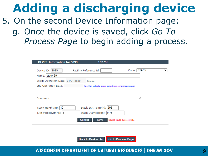### **Adding a discharging device** 5. On the second Device Information page: g. Once the device is saved, click *Go To Process Page* to begin adding a process.

| <b>DEVICE Information for S099</b><br>162756                                                     |
|--------------------------------------------------------------------------------------------------|
| Code: STACK<br>Device ID: S099<br><b>Facility Reference Id:</b><br>$\check{ }$<br>Name: stack 99 |
| Begin Operation Date: 01/01/2020<br>Calendar                                                     |
| End Operation Date:<br>To add an end date, please contact your compliance inspector              |
| Comment:                                                                                         |
| Stack Exit Temp(K): 293<br>Stack Height(m):   10                                                 |
| Exit Velocity $(m/s)$ : 5<br>Stack Diameter(m): 0.75                                             |
| Cancel<br><b>Save</b><br>Device saved successfully                                               |

**Go to Process Page Back to Device List**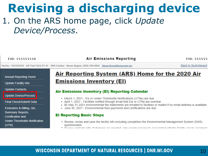### <span id="page-9-0"></span>**Revising a discharging device** 1. On the ARS home page, click *Update Device/Process*.

| <b>FID: 555555550</b>                                       | <b>Air Emissions Reporting</b>                                                                                                                                                                                                                                                      | <b>FID: 555555</b>         |
|-------------------------------------------------------------|-------------------------------------------------------------------------------------------------------------------------------------------------------------------------------------------------------------------------------------------------------------------------------------|----------------------------|
|                                                             | Facility - 555555550 : AIR Test FACILITY #1 DNR Contact : Steven Bogost, (608) 264-8843 Steven.Bogost@wisconsin.gov                                                                                                                                                                 | <b>Back to Switchboard</b> |
| <b>Annual Reporting Home</b><br><b>Update Facility Info</b> | Air Reporting System (ARS) Home for the 2020 Air<br><b>Emissions Inventory (EI)</b>                                                                                                                                                                                                 |                            |
| <b>Update Contacts</b>                                      | <b>Air Emissions Inventory (EI) Reporting Calendar</b>                                                                                                                                                                                                                              |                            |
| Update Device/Process<br><b>Final Check/Submit Data</b>     | • March 1, 2021 - Els or Under-Thresholds-Notifications (UTNs) are due.<br>- April 1, 2021 - Facilities notified through email that Els or UTNs are overdue.<br>• By May 31 2021 environmental fee statements are emailed to facilities or mailed if no email address is available. |                            |
| Emissions & Billing, QA,                                    | - June 30, 2021 - Environmental fees payments and certifications are due.                                                                                                                                                                                                           |                            |
| <b>Summary Reports,</b><br>Certification and                | <b>El Reporting Basic Steps</b>                                                                                                                                                                                                                                                     |                            |
| Under-Thresholds-Notification<br>(UTN)                      | 1. Review, revise and save the facility info including completion the Environmental Management System (EMS)<br>questionnaire.<br>O Doviou contacte info. If changes are needed, only needed proviously accoriated with the facility can be accioned.                                |                            |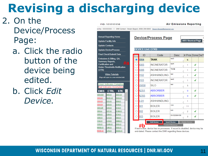# **Revising a discharging device**

**Annual Repor Update Facili Update Conta Update Devic Final Check/S Emissions & E Summary Rer Certification a Under-Thresh** (UTN)

**Video** (Page will open i

**CT** 

305-0

BAG<sub>1</sub>  $C<sub>01-0</sub>$ 

C03-0

 $C<sub>04-0</sub>$ 

C07-0

C09-0

 $C10-0$ C19-0

C345-

C66-0

**Green Indica Red Indicate EMIS** 

1004-003

1004-02

1004-03 1004-04

1004-125

 $1004-m$ 

1005-01

1006-01

1102-01

1103-01 55858-01

55858-02

### 2. On the Device/Process Page:

- a. Click the radio button of the device being edited.
- b. Click *Edit Device.*

| <b>FID: 555555550</b> |  |  |  |  |  |  |  |
|-----------------------|--|--|--|--|--|--|--|
|-----------------------|--|--|--|--|--|--|--|

#### **Air Emissions Reporting**

acility - 555555550 : - 1 DNR Contact : Steven Bogost. (608) 264-8843 Steven.Bogost@wisconsin.gov

| porting Home               |                                     |                                                           | <b>Device/Process Page</b> |                           |                                                                                |                           |                          |   | C |
|----------------------------|-------------------------------------|-----------------------------------------------------------|----------------------------|---------------------------|--------------------------------------------------------------------------------|---------------------------|--------------------------|---|---|
| acility Info               |                                     |                                                           |                            |                           |                                                                                |                           | <b>ARS Shortcut Page</b> |   | M |
| ontacts                    |                                     |                                                           |                            |                           |                                                                                |                           |                          |   |   |
| evice/Process              |                                     |                                                           |                            | <b>DEVICE List: (190)</b> |                                                                                |                           |                          |   |   |
| ck/Submit Data             |                                     |                                                           |                            | ID                        | Code                                                                           | <b>Desc</b>               | # Pros Done Del?         |   |   |
| & Billing, QA,<br>Reports, |                                     |                                                           | $\odot$                    | 1004                      | <b>TANK</b>                                                                    | test3                     | 6<br>4                   |   |   |
| on and                     |                                     | #a                                                        |                            | 1005                      | <b>INCINERATOR</b>                                                             | test4                     | ı<br>h,                  | ◡ |   |
|                            | resholds-Notification               |                                                           |                            | 1006                      | <b>INCINERATOR</b>                                                             | Test@                     | ı<br>4                   | ◡ |   |
| deo Tutorials              |                                     |                                                           |                            | 1102                      | <b>ASHHANDLING</b>                                                             | test                      | ı<br>Þ,                  | ◡ |   |
| ben in a new window/tab)   |                                     |                                                           | 1103                       | <b>INCINERATOR</b>        | test2                                                                          | ı<br>4                    | ◡                        |   |   |
|                            | licates Complete<br>ates Incomplete |                                                           |                            | 55858                     | SIL O                                                                          | test                      | 5<br>4                   |   |   |
| <b>CTRL</b>                | <b>STK</b>                          |                                                           |                            | ADS <sub>1</sub>          | <b>ABSORBER</b>                                                                |                           | o<br>4                   | ◡ |   |
| 05-01                      | S001-01                             |                                                           |                            | ADS <sub>5</sub>          | <b>ABSORBER</b>                                                                |                           | 0<br>4                   | ◡ |   |
| 8AG1-01<br>$201 - 01$      | S003-01<br>S09-01                   |                                                           |                            | $B-01$                    | <b>ASHHANDLING</b>                                                             |                           | 1<br>4                   |   |   |
| 03-01                      | S16-01                              |                                                           |                            | <b>BO1</b>                | <b>BOILER</b>                                                                  | VCZX                      | 11<br>h,                 |   |   |
| $204 - 01$<br>207-01       | S19-01<br>S199-01                   |                                                           |                            | 302                       | <b>BOILER</b>                                                                  | bob                       | 2                        | √ |   |
| 09-01                      | S79-01                              |                                                           |                            |                           |                                                                                | SN 523864156              | Ą                        |   |   |
| 10-01<br>S88-01            |                                     |                                                           | 303                        | <b>BOILER</b>             |                                                                                | 3<br>h                    | ◡                        |   |   |
| 19-01                      | S999-01                             |                                                           |                            |                           | <b>Edit Device</b>                                                             | <b>Insert Device</b>      | <b>Delete Device</b>     |   |   |
| 345-01                     | SSS-01                              |                                                           |                            |                           |                                                                                | <b>Control Efficiency</b> |                          |   |   |
| $266 - 01$                 | SSS-01                              |                                                           |                            |                           | If text is blue, device has no processes. If record is disabled, device may be |                           |                          |   |   |
| 279-01                     | <b>SSSS-01</b>                      | and dated. Please contact the DNP regarding these devices |                            |                           |                                                                                |                           |                          |   |   |

end-dated. Please contact the DNR regarding these devices.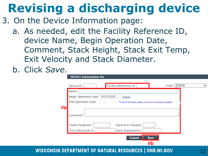## **Revising a discharging device**

- 3. On the Device Information page:
	- a. As needed, edit the Facility Reference ID, device Name, Begin Operation Date, Comment, Stack Height, Stack Exit Temp, Exit Velocity and Stack Diameter.
	- b. Click *Save.*

| Device ID:                                          | <b>Facility Reference Id:</b>                                | Code: STACK |
|-----------------------------------------------------|--------------------------------------------------------------|-------------|
| Name:                                               |                                                              |             |
| <b>Begin Operation Date:</b>                        | 01/01/2020<br>Calendar                                       |             |
| <b>End Operation Date:</b>                          | To add an end date, please contact your compliance inspector |             |
| Comment:<br>Stack Height(m):<br>Exit Velocity(m/s): | Stack Exit Temp(K):<br>Stack Diameter(m):                    |             |
|                                                     | <b>Cancel</b><br><b>Save</b><br>#b                           |             |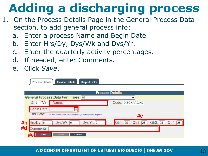## <span id="page-12-0"></span>**Adding a discharging process**

- 1. On the Process Details Page in the General Process Data section, to add general process info:
	- a. Enter a process Name and Begin Date
	- b. Enter Hrs/Dy, Dys/Wk and Dys/Yr.
	- c. Enter the quarterly activity percentages.
	- d. If needed, enter Comments.
	- e. Click *Save*.

|    | <b>Device Details</b><br><b>Helpful Links</b><br>Process Details          |                                              |
|----|---------------------------------------------------------------------------|----------------------------------------------|
|    |                                                                           | <b>Process Details</b>                       |
|    | <b>General Process Data For:</b><br>$S099 - 01$                           | $\checkmark$                                 |
|    | ID: 01 #a<br>Name:                                                        | Code: DISCHARGING                            |
|    | Begin Date:                                                               |                                              |
|    | End Date:<br>To add an end date, please contact your compliance inspector | #c                                           |
| #b | Hrs/Dy: 0<br>Dys/Wk: 0<br>Dys/Yr: 0                                       | Qtr2: 25<br>Qtr3: 25<br>Qtr1: 25<br>Qtr4: 25 |
| #d | Comments:                                                                 |                                              |
|    | #e<br><b>Insert</b><br><b>Save</b><br><b>Cancel</b>                       |                                              |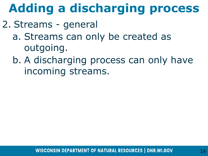# **Adding a discharging process**

### 2. Streams - general

- a. Streams can only be created as outgoing.
- b. A discharging process can only have incoming streams.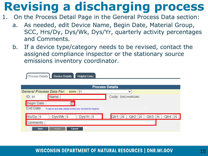### **Revising a discharging process**

- 1. On the Process Detail Page in the General Process Data section:
	- a. As needed, edit Device Name, Begin Date, Material Group, SCC, Hrs/Dy, Dys/Wk, Dys/Yr, quarterly activity percentages and Comments.
	- b. If a device type/category needs to be revised, contact the assigned compliance inspector or the stationary source emissions inventory coordinator.

| <b>Device Details</b><br><b>Helpful Links</b><br><b>Process Details</b>   |                                                    |
|---------------------------------------------------------------------------|----------------------------------------------------|
| <b>Process Details</b>                                                    |                                                    |
| <b>General Process Data For:</b><br>$S099 - 01$                           | $\checkmark$                                       |
| Name:<br>ID: 01                                                           | Code: DISCHARGING                                  |
| Begin Date:                                                               |                                                    |
| End Date:<br>To add an end date, please contact your compliance inspector |                                                    |
| Dys/Yr: 0<br>Dys/Wk: 0<br>Hrs/Dy: 0                                       | Qtr1: 25<br>Qtr2: 25<br>$Qtr3$ :<br>Qtr4: 25<br>25 |
| Comments:                                                                 |                                                    |
| <b>Insert</b><br><b>Save</b><br><b>Cancel</b>                             |                                                    |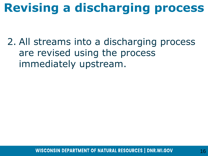## **Revising a discharging process**

2. All streams into a discharging process are revised using the process immediately upstream.